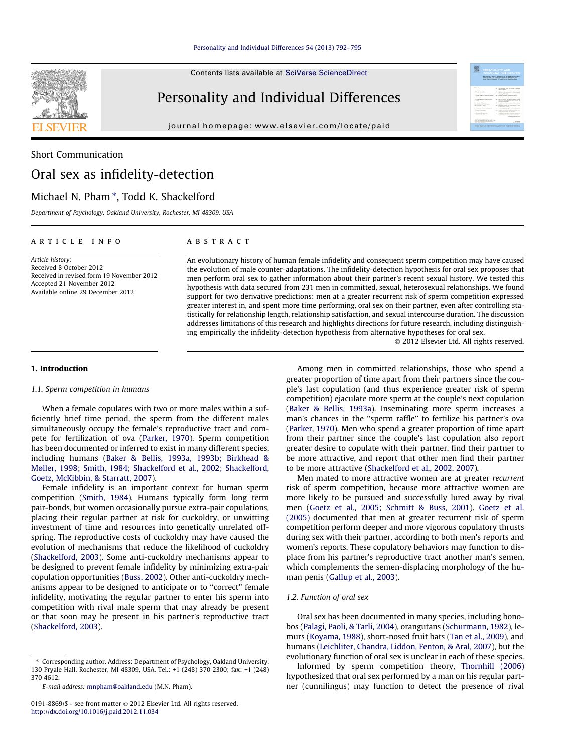Contents lists available at [SciVerse ScienceDirect](http://www.sciencedirect.com/science/journal/01918869)

### Personality and Individual Differences

journal homepage: [www.elsevier.com/locate/paid](http://www.elsevier.com/locate/paid)



# Oral sex as infidelity-detection

### Michael N. Pham\*, Todd K. Shackelford

Department of Psychology, Oakland University, Rochester, MI 48309, USA

#### article info

Article history: Received 8 October 2012 Received in revised form 19 November 2012 Accepted 21 November 2012 Available online 29 December 2012

# 1. Introduction

#### 1.1. Sperm competition in humans

When a female copulates with two or more males within a sufficiently brief time period, the sperm from the different males simultaneously occupy the female's reproductive tract and compete for fertilization of ova [\(Parker, 1970\)](#page-2-0). Sperm competition has been documented or inferred to exist in many different species, including humans ([Baker & Bellis, 1993a, 1993b; Birkhead &](#page-2-0) [Møller, 1998; Smith, 1984; Shackelford et al., 2002; Shackelford,](#page-2-0) [Goetz, McKibbin, & Starratt, 2007](#page-2-0)).

Female infidelity is an important context for human sperm competition ([Smith, 1984](#page-3-0)). Humans typically form long term pair-bonds, but women occasionally pursue extra-pair copulations, placing their regular partner at risk for cuckoldry, or unwitting investment of time and resources into genetically unrelated offspring. The reproductive costs of cuckoldry may have caused the evolution of mechanisms that reduce the likelihood of cuckoldry ([Shackelford, 2003](#page-2-0)). Some anti-cuckoldry mechanisms appear to be designed to prevent female infidelity by minimizing extra-pair copulation opportunities [\(Buss, 2002\)](#page-2-0). Other anti-cuckoldry mechanisms appear to be designed to anticipate or to ''correct'' female infidelity, motivating the regular partner to enter his sperm into competition with rival male sperm that may already be present or that soon may be present in his partner's reproductive tract ([Shackelford, 2003](#page-2-0)).

#### **ABSTRACT**

An evolutionary history of human female infidelity and consequent sperm competition may have caused the evolution of male counter-adaptations. The infidelity-detection hypothesis for oral sex proposes that men perform oral sex to gather information about their partner's recent sexual history. We tested this hypothesis with data secured from 231 men in committed, sexual, heterosexual relationships. We found support for two derivative predictions: men at a greater recurrent risk of sperm competition expressed greater interest in, and spent more time performing, oral sex on their partner, even after controlling statistically for relationship length, relationship satisfaction, and sexual intercourse duration. The discussion addresses limitations of this research and highlights directions for future research, including distinguishing empirically the infidelity-detection hypothesis from alternative hypotheses for oral sex.

- 2012 Elsevier Ltd. All rights reserved.

Among men in committed relationships, those who spend a greater proportion of time apart from their partners since the couple's last copulation (and thus experience greater risk of sperm competition) ejaculate more sperm at the couple's next copulation ([Baker & Bellis, 1993a\)](#page-2-0). Inseminating more sperm increases a man's chances in the ''sperm raffle'' to fertilize his partner's ova ([Parker, 1970](#page-2-0)). Men who spend a greater proportion of time apart from their partner since the couple's last copulation also report greater desire to copulate with their partner, find their partner to be more attractive, and report that other men find their partner to be more attractive ([Shackelford et al., 2002, 2007](#page-3-0)).

Men mated to more attractive women are at greater recurrent risk of sperm competition, because more attractive women are more likely to be pursued and successfully lured away by rival men [\(Goetz et al., 2005; Schmitt & Buss, 2001](#page-2-0)). [Goetz et al.](#page-2-0) [\(2005\)](#page-2-0) documented that men at greater recurrent risk of sperm competition perform deeper and more vigorous copulatory thrusts during sex with their partner, according to both men's reports and women's reports. These copulatory behaviors may function to displace from his partner's reproductive tract another man's semen, which complements the semen-displacing morphology of the human penis [\(Gallup et al., 2003](#page-2-0)).

#### 1.2. Function of oral sex

Oral sex has been documented in many species, including bonobos ([Palagi, Paoli, & Tarli, 2004\)](#page-2-0), orangutans ([Schurmann, 1982\)](#page-2-0), lemurs [\(Koyama, 1988](#page-2-0)), short-nosed fruit bats [\(Tan et al., 2009\)](#page-3-0), and humans [\(Leichliter, Chandra, Liddon, Fenton, & Aral, 2007](#page-2-0)), but the evolutionary function of oral sex is unclear in each of these species.

Informed by sperm competition theory, [Thornhill \(2006\)](#page-3-0) hypothesized that oral sex performed by a man on his regular partner (cunnilingus) may function to detect the presence of rival



<sup>⇑</sup> Corresponding author. Address: Department of Psychology, Oakland University, 130 Pryale Hall, Rochester, MI 48309, USA. Tel.: +1 (248) 370 2300; fax: +1 (248) 370 4612.

E-mail address: [mnpham@oakland.edu](mailto:mnpham@oakland.edu) (M.N. Pham).

<sup>0191-8869/\$ -</sup> see front matter © 2012 Elsevier Ltd. All rights reserved. <http://dx.doi.org/10.1016/j.paid.2012.11.034>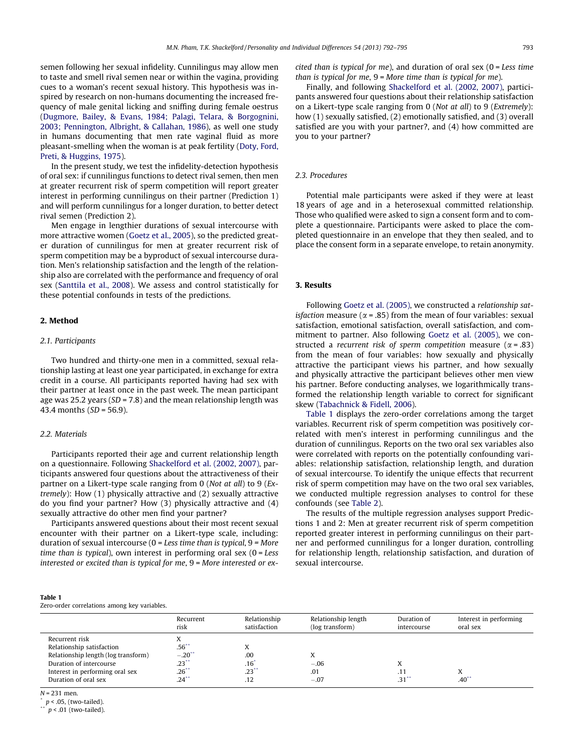semen following her sexual infidelity. Cunnilingus may allow men to taste and smell rival semen near or within the vagina, providing cues to a woman's recent sexual history. This hypothesis was inspired by research on non-humans documenting the increased frequency of male genital licking and sniffing during female oestrus ([Dugmore, Bailey, & Evans, 1984; Palagi, Telara, & Borgognini,](#page-2-0) [2003; Pennington, Albright, & Callahan, 1986](#page-2-0)), as well one study in humans documenting that men rate vaginal fluid as more pleasant-smelling when the woman is at peak fertility ([Doty, Ford,](#page-2-0) [Preti, & Huggins, 1975\)](#page-2-0).

In the present study, we test the infidelity-detection hypothesis of oral sex: if cunnilingus functions to detect rival semen, then men at greater recurrent risk of sperm competition will report greater interest in performing cunnilingus on their partner (Prediction 1) and will perform cunnilingus for a longer duration, to better detect rival semen (Prediction 2).

Men engage in lengthier durations of sexual intercourse with more attractive women [\(Goetz et al., 2005](#page-2-0)), so the predicted greater duration of cunnilingus for men at greater recurrent risk of sperm competition may be a byproduct of sexual intercourse duration. Men's relationship satisfaction and the length of the relationship also are correlated with the performance and frequency of oral sex [\(Santtila et al., 2008](#page-2-0)). We assess and control statistically for these potential confounds in tests of the predictions.

#### 2. Method

#### 2.1. Participants

Two hundred and thirty-one men in a committed, sexual relationship lasting at least one year participated, in exchange for extra credit in a course. All participants reported having had sex with their partner at least once in the past week. The mean participant age was 25.2 years ( $SD = 7.8$ ) and the mean relationship length was 43.4 months (SD = 56.9).

#### 2.2. Materials

Participants reported their age and current relationship length on a questionnaire. Following [Shackelford et al. \(2002, 2007\)](#page-3-0), participants answered four questions about the attractiveness of their partner on a Likert-type scale ranging from 0 (Not at all) to 9 (Extremely): How (1) physically attractive and (2) sexually attractive do you find your partner? How (3) physically attractive and (4) sexually attractive do other men find your partner?

Participants answered questions about their most recent sexual encounter with their partner on a Likert-type scale, including: duration of sexual intercourse ( $0$  = Less time than is typical,  $9$  = More time than is typical), own interest in performing oral sex  $(0 = Less$ interested or excited than is typical for me,  $9$  = More interested or ex-

|  | cited than is typical for me), and duration of oral sex $(0 = Less time$ |  |  |  |
|--|--------------------------------------------------------------------------|--|--|--|
|  | than is typical for me, 9 = More time than is typical for me).           |  |  |  |

Finally, and following [Shackelford et al. \(2002, 2007\),](#page-3-0) participants answered four questions about their relationship satisfaction on a Likert-type scale ranging from 0 (Not at all) to 9 (Extremely): how (1) sexually satisfied, (2) emotionally satisfied, and (3) overall satisfied are you with your partner?, and (4) how committed are you to your partner?

#### 2.3. Procedures

Potential male participants were asked if they were at least 18 years of age and in a heterosexual committed relationship. Those who qualified were asked to sign a consent form and to complete a questionnaire. Participants were asked to place the completed questionnaire in an envelope that they then sealed, and to place the consent form in a separate envelope, to retain anonymity.

#### 3. Results

Following [Goetz et al. \(2005\)](#page-2-0), we constructed a relationship sat*isfaction* measure ( $\alpha$  = .85) from the mean of four variables: sexual satisfaction, emotional satisfaction, overall satisfaction, and commitment to partner. Also following [Goetz et al. \(2005\)](#page-2-0), we constructed a recurrent risk of sperm competition measure ( $\alpha$  = .83) from the mean of four variables: how sexually and physically attractive the participant views his partner, and how sexually and physically attractive the participant believes other men view his partner. Before conducting analyses, we logarithmically transformed the relationship length variable to correct for significant skew ([Tabachnick & Fidell, 2006](#page-3-0)).

Table 1 displays the zero-order correlations among the target variables. Recurrent risk of sperm competition was positively correlated with men's interest in performing cunnilingus and the duration of cunnilingus. Reports on the two oral sex variables also were correlated with reports on the potentially confounding variables: relationship satisfaction, relationship length, and duration of sexual intercourse. To identify the unique effects that recurrent risk of sperm competition may have on the two oral sex variables, we conducted multiple regression analyses to control for these confounds (see [Table 2\)](#page-2-0).

The results of the multiple regression analyses support Predictions 1 and 2: Men at greater recurrent risk of sperm competition reported greater interest in performing cunnilingus on their partner and performed cunnilingus for a longer duration, controlling for relationship length, relationship satisfaction, and duration of sexual intercourse.

#### Table 1

Zero-order correlations among key variables.

|                                                                                                                                                                          | Recurrent<br>risk                                               | Relationship<br>satisfaction  | Relationship length<br>(log transform) | Duration of<br>intercourse  | Interest in performing<br>oral sex |
|--------------------------------------------------------------------------------------------------------------------------------------------------------------------------|-----------------------------------------------------------------|-------------------------------|----------------------------------------|-----------------------------|------------------------------------|
| Recurrent risk<br>Relationship satisfaction<br>Relationship length (log transform)<br>Duration of intercourse<br>Interest in performing oral sex<br>Duration of oral sex | $.56^{}$<br>$-.20^{\degree}$<br>$.23***$<br>$.26***$<br>$24$ ** | .00<br>.16<br>$.23***$<br>.12 | $-.06$<br>.01<br>$-.07$                | л<br>$\cdot$ 11<br>$.31***$ | $.40^{**}$                         |

 $N = 231$  men.

 $p < .05$ , (two-tailed).

 $p < .01$  (two-tailed).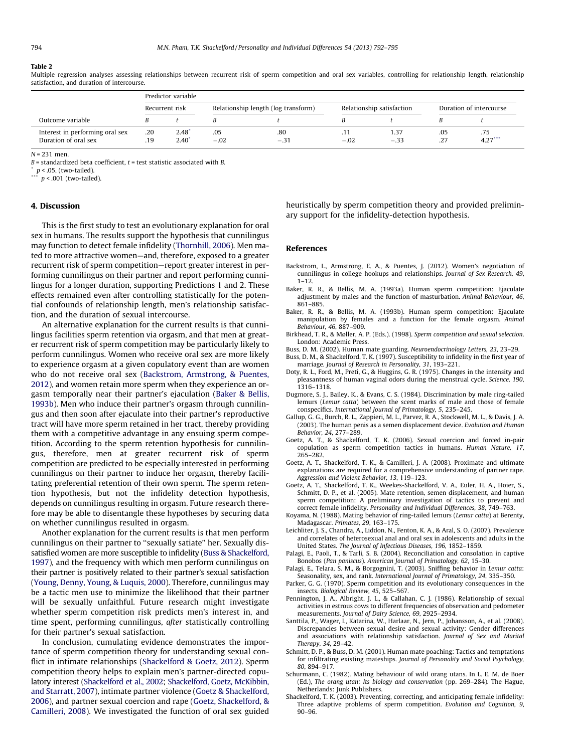#### <span id="page-2-0"></span>Table 2 Multiple regression analyses assessing relationships between recurrent risk of sperm competition and oral sex variables, controlling for relationship length, relationship

satisfaction, and duration of intercourse. Predictor variable Recurrent risk and Relationship length (log transform) Relationship satisfaction and Duration of intercourse

|                                                         | Recurrent risk |               | Relationship length (log transform) |               | Relationship satisfaction |                | Duration of intercourse |                 |  |  |
|---------------------------------------------------------|----------------|---------------|-------------------------------------|---------------|---------------------------|----------------|-------------------------|-----------------|--|--|
| Outcome variable                                        |                |               |                                     |               |                           |                |                         |                 |  |  |
| Interest in performing oral sex<br>Duration of oral sex | .20<br>.19     | 2.48'<br>2.40 | .05<br>$-.02$                       | .80<br>$-.31$ | .<br>$-.02$               | 1.37<br>$-.33$ | .05<br>.27              | 15<br>$4.27***$ |  |  |

 $N = 231$  men.

 $B$  = standardized beta coefficient,  $t$  = test statistic associated with B.

 $p < .05$ , (two-tailed).

 $p < .001$  (two-tailed).

#### 4. Discussion

This is the first study to test an evolutionary explanation for oral sex in humans. The results support the hypothesis that cunnilingus may function to detect female infidelity ([Thornhill, 2006](#page-3-0)). Men mated to more attractive women—and, therefore, exposed to a greater recurrent risk of sperm competition—report greater interest in performing cunnilingus on their partner and report performing cunnilingus for a longer duration, supporting Predictions 1 and 2. These effects remained even after controlling statistically for the potential confounds of relationship length, men's relationship satisfaction, and the duration of sexual intercourse.

An alternative explanation for the current results is that cunnilingus facilities sperm retention via orgasm, and that men at greater recurrent risk of sperm competition may be particularly likely to perform cunnilingus. Women who receive oral sex are more likely to experience orgasm at a given copulatory event than are women who do not receive oral sex (Backstrom, Armstrong, & Puentes, 2012), and women retain more sperm when they experience an orgasm temporally near their partner's ejaculation (Baker & Bellis, 1993b). Men who induce their partner's orgasm through cunnilingus and then soon after ejaculate into their partner's reproductive tract will have more sperm retained in her tract, thereby providing them with a competitive advantage in any ensuing sperm competition. According to the sperm retention hypothesis for cunnilingus, therefore, men at greater recurrent risk of sperm competition are predicted to be especially interested in performing cunnilingus on their partner to induce her orgasm, thereby facilitating preferential retention of their own sperm. The sperm retention hypothesis, but not the infidelity detection hypothesis, depends on cunnilingus resulting in orgasm. Future research therefore may be able to disentangle these hypotheses by securing data on whether cunnilingus resulted in orgasm.

Another explanation for the current results is that men perform cunnilingus on their partner to ''sexually satiate'' her. Sexually dissatisfied women are more susceptible to infidelity (Buss & Shackelford, 1997), and the frequency with which men perform cunnilingus on their partner is positively related to their partner's sexual satisfaction ([Young, Denny, Young, & Luquis, 2000\)](#page-3-0). Therefore, cunnilingus may be a tactic men use to minimize the likelihood that their partner will be sexually unfaithful. Future research might investigate whether sperm competition risk predicts men's interest in, and time spent, performing cunnilingus, after statistically controlling for their partner's sexual satisfaction.

In conclusion, cumulating evidence demonstrates the importance of sperm competition theory for understanding sexual conflict in intimate relationships [\(Shackelford & Goetz, 2012\)](#page-3-0). Sperm competition theory helps to explain men's partner-directed copulatory interest [\(Shackelford et al., 2002;](#page-3-0) [Shackelford, Goetz, McKibbin,](#page-3-0) [and Starratt, 2007\)](#page-3-0), intimate partner violence (Goetz & Shackelford, 2006), and partner sexual coercion and rape (Goetz, Shackelford, & Camilleri, 2008). We investigated the function of oral sex guided heuristically by sperm competition theory and provided preliminary support for the infidelity-detection hypothesis.

#### References

- Backstrom, L., Armstrong, E. A., & Puentes, J. (2012). Women's negotiation of cunnilingus in college hookups and relationships. Journal of Sex Research, 49,  $1 - 12$
- Baker, R. R., & Bellis, M. A. (1993a). Human sperm competition: Ejaculate adjustment by males and the function of masturbation. Animal Behaviour, 46, 861–885.
- Baker, R. R., & Bellis, M. A. (1993b). Human sperm competition: Ejaculate manipulation by females and a function for the female orgasm. Animal Behaviour, 46, 887–909.
- Birkhead, T. R., & Møller, A. P. (Eds.). (1998). Sperm competition and sexual selection. London: Academic Press.
- Buss, D. M. (2002). Human mate guarding. Neuroendocrinology Letters, 23, 23–29.
- Buss, D. M., & Shackelford, T. K. (1997). Susceptibility to infidelity in the first year of marriage. Journal of Research in Personality, 31, 193–221.
- Doty, R. L., Ford, M., Preti, G., & Huggins, G. R. (1975). Changes in the intensity and pleasantness of human vaginal odors during the menstrual cycle. Science, 190, 1316–1318.
- Dugmore, S. J., Bailey, K., & Evans, C. S. (1984). Discrimination by male ring-tailed lemurs (Lemur catta) between the scent marks of male and those of female conspecifics. International Journal of Primatology, 5, 235–245.
- Gallup, G. G., Burch, R. L., Zappieri, M. L., Parvez, R. A., Stockwell, M. L., & Davis, J. A. (2003). The human penis as a semen displacement device. Evolution and Human Behavior, 24, 277–289.
- Goetz, A. T., & Shackelford, T. K. (2006). Sexual coercion and forced in-pair copulation as sperm competition tactics in humans. Human Nature, 17, 265–282.
- Goetz, A. T., Shackelford, T. K., & Camilleri, J. A. (2008). Proximate and ultimate explanations are required for a comprehensive understanding of partner rape. Aggression and Violent Behavior, 13, 119–123.
- Goetz, A. T., Shackelford, T. K., Weekes-Shackelford, V. A., Euler, H. A., Hoier, S., Schmitt, D. P., et al. (2005). Mate retention, semen displacement, and human sperm competition: A preliminary investigation of tactics to prevent and correct female infidelity. Personality and Individual Differences, 38, 749–763.
- Koyama, N. (1988). Mating behavior of ring-tailed lemurs (Lemur catta) at Berenty, Madagascar. Primates, 29, 163–175.
- Leichliter, J. S., Chandra, A., Liddon, N., Fenton, K. A., & Aral, S. O. (2007). Prevalence and correlates of heterosexual anal and oral sex in adolescents and adults in the United States. The Journal of Infectious Diseases, 196, 1852–1859.
- Palagi, E., Paoli, T., & Tarli, S. B. (2004). Reconciliation and consolation in captive Bonobos (Pan paniscus). American Journal of Primatology, 62, 15–30.
- Palagi, E., Telara, S. M., & Borgognini, T. (2003). Sniffing behavior in Lemur catta: Seasonality, sex, and rank. International Journal of Primatology, 24, 335–350.
- Parker, G. G. (1970). Sperm competition and its evolutionary consequences in the insects. Biological Review, 45, 525–567.
- Pennington, J. A., Albright, J. L., & Callahan, C. J. (1986). Relationship of sexual activities in estrous cows to different frequencies of observation and pedometer measurements. Journal of Dairy Science, 69, 2925–2934.
- Santtila, P., Wager, I., Katarina, W., Harlaar, N., Jern, P., Johansson, A., et al. (2008). Discrepancies between sexual desire and sexual activity: Gender differences and associations with relationship satisfaction. Journal of Sex and Marital Therapy, 34, 29–42.
- Schmitt, D. P., & Buss, D. M. (2001). Human mate poaching: Tactics and temptations for infiltrating existing mateships. Journal of Personality and Social Psychology, 80, 894–917.
- Schurmann, C. (1982). Mating behaviour of wild orang utans. In L. E. M. de Boer (Ed.), The orang utan: Its biology and conservation (pp. 269–284). The Hague, Netherlands: Junk Publishers.
- Shackelford, T. K. (2003). Preventing, correcting, and anticipating female infidelity: Three adaptive problems of sperm competition. Evolution and Cognition, 9, 90–96.